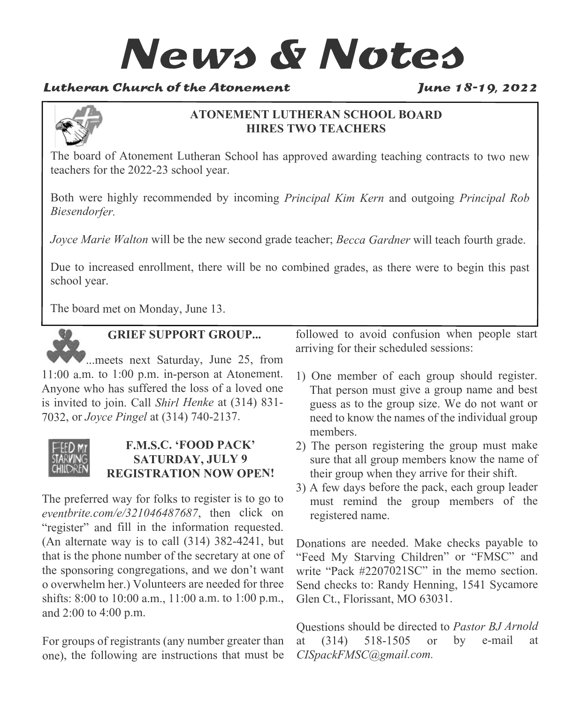# **News & Notes**

## Lutheran Church of the Atonement

#### June 18-19, 2022



#### **ATONEMENT LUTHERAN SCHOOL BOARD HIRES TWO TEACHERS**

The board of Atonement Lutheran School has approved awarding teaching contracts to two new teachers for the 2022-23 school year.

Both were highly recommended by incoming *Principal Kim Kern* and outgoing *Principal Rob Biesendorfer.*

*Joyce Marie Walton* will be the new second grade teacher; *Becca Gardner* will teach fourth grade.

Due to increased enrollment, there will be no combined grades, as there were to begin this past school year.

The board met on Monday, June 13.



### **GRIEF SUPPORT GROUP...**

...meets next Saturday, June 25, from 11:00 a.m. to 1:00 p.m. in-person at Atonement. Anyone who has suffered the loss of a loved one is invited to join. Call *Shirl Henke* at (314) 831- 7032, or *Joyce Pingel* at (314) 740-2137.

#### **F.M.S.C. 'FOOD PACK' SATURDAY, JULY 9 REGISTRATION NOW OPEN!**

The preferred way for folks to register is to go to *eventbrite.com/e/321046487687*, then click on "register" and fill in the information requested. (An alternate way is to call (314) 382-4241, but that is the phone number of the secretary at one of the sponsoring congregations, and we don't want o overwhelm her.) Volunteers are needed for three shifts: 8:00 to 10:00 a.m., 11:00 a.m. to 1:00 p.m., and 2:00 to 4:00 p.m.

For groups of registrants (any number greater than one), the following are instructions that must be followed to avoid confusion when people start arriving for their scheduled sessions:

- 1) One member of each group should register. That person must give a group name and best guess as to the group size. We do not want or need to know the names of the individual group members.
- 2) The person registering the group must make sure that all group members know the name of their group when they arrive for their shift.
- 3) A few days before the pack, each group leader must remind the group members of the registered name.

Donations are needed. Make checks payable to "Feed My Starving Children" or "FMSC" and write "Pack #2207021SC" in the memo section. Send checks to: Randy Henning, 1541 Sycamore Glen Ct., Florissant, MO 63031.

Questions should be directed to *Pastor BJ Arnold* at (314) 518-1505 or by e-mail at *CISpackFMSC@gmail.com.*